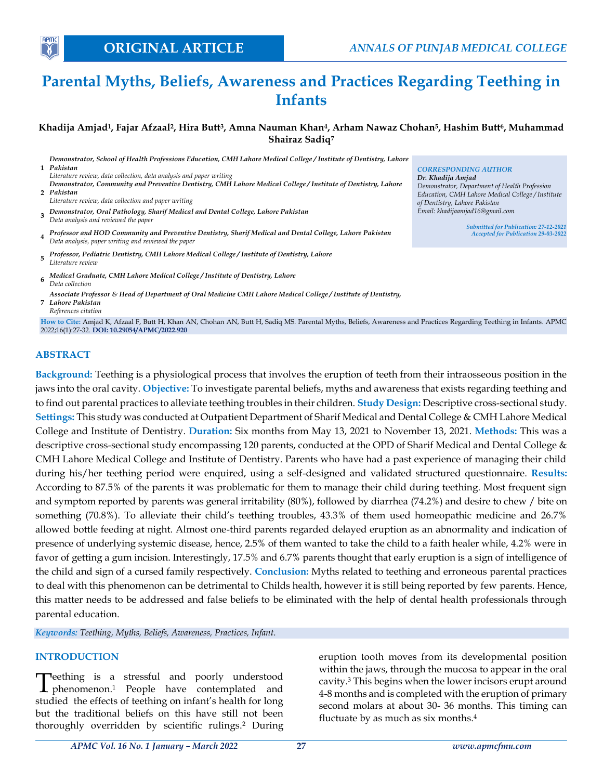# **Parental Myths, Beliefs, Awareness and Practices Regarding Teething in Infants**

**Khadija Amjad<sup>1</sup> , Fajar Afzaal<sup>2</sup> , Hira Butt<sup>3</sup> , Amna Nauman Khan<sup>4</sup> , Arham Nawaz Chohan<sup>5</sup> , Hashim Butt<sup>6</sup> , Muhammad Shairaz Sadiq<sup>7</sup>**

**1** *Pakistan Demonstrator, School of Health Professions Education, CMH Lahore Medical College / Institute of Dentistry, Lahore Literature review, data collection, data analysis and paper writing* **2** *Pakistan Demonstrator, Community and Preventive Dentistry, CMH Lahore Medical College / Institute of Dentistry, Lahore Literature review, data collection and paper writing* **3** *Demonstrator, Oral Pathology, Sharif Medical and Dental College, Lahore Pakistan Data analysis and reviewed the paper* **4** *Professor and HOD Community and Preventive Dentistry, Sharif Medical and Dental College, Lahore Pakistan Data analysis, paper writing and reviewed the paper* **5** *Professor, Pediatric Dentistry, CMH Lahore Medical College / Institute of Dentistry, Lahore Literature review*

- **6** *Medical Graduate, CMH Lahore Medical College / Institute of Dentistry, Lahore Data collection*
- **7** *Lahore Pakistan Associate Professor & Head of Department of Oral Medicine CMH Lahore Medical College / Institute of Dentistry, References citation*

**How to Cite:** Amjad K, Afzaal F, Butt H, Khan AN, Chohan AN, Butt H, Sadiq MS. Parental Myths, Beliefs, Awareness and Practices Regarding Teething in Infants. APMC 2022;16(1):27-32. **DOI: 10.29054/APMC/2022.920**

#### **ABSTRACT**

**APM** 

**Background:** Teething is a physiological process that involves the eruption of teeth from their intraosseous position in the jaws into the oral cavity. **Objective:** To investigate parental beliefs, myths and awareness that exists regarding teething and to find out parental practices to alleviate teething troubles in their children. **Study Design:** Descriptive cross-sectional study. **Settings:** This study was conducted at Outpatient Department of Sharif Medical and Dental College & CMH Lahore Medical College and Institute of Dentistry. **Duration:** Six months from May 13, 2021 to November 13, 2021. **Methods:** This was a descriptive cross-sectional study encompassing 120 parents, conducted at the OPD of Sharif Medical and Dental College & CMH Lahore Medical College and Institute of Dentistry. Parents who have had a past experience of managing their child during his/her teething period were enquired, using a self-designed and validated structured questionnaire. **Results:** According to 87.5% of the parents it was problematic for them to manage their child during teething. Most frequent sign and symptom reported by parents was general irritability (80%), followed by diarrhea (74.2%) and desire to chew / bite on something (70.8%). To alleviate their child's teething troubles, 43.3% of them used homeopathic medicine and 26.7% allowed bottle feeding at night. Almost one-third parents regarded delayed eruption as an abnormality and indication of presence of underlying systemic disease, hence, 2.5% of them wanted to take the child to a faith healer while, 4.2% were in favor of getting a gum incision. Interestingly, 17.5% and 6.7% parents thought that early eruption is a sign of intelligence of the child and sign of a cursed family respectively. **Conclusion:** Myths related to teething and erroneous parental practices to deal with this phenomenon can be detrimental to Childs health, however it is still being reported by few parents. Hence, this matter needs to be addressed and false beliefs to be eliminated with the help of dental health professionals through parental education.

*Keywords: Teething, Myths, Beliefs, Awareness, Practices, Infant.*

#### **INTRODUCTION**

leething is a stressful and poorly understood Teething is a stressful and poorly understood<br>phenomenon.<sup>1</sup> People have contemplated and studied the effects of teething on infant's health for long but the traditional beliefs on this have still not been thoroughly overridden by scientific rulings. <sup>2</sup> During eruption tooth moves from its developmental position within the jaws, through the mucosa to appear in the oral cavity. <sup>3</sup> This begins when the lower incisors erupt around 4-8 months and is completed with the eruption of primary second molars at about 30- 36 months. This timing can fluctuate by as much as six months. 4

*CORRESPONDING AUTHOR Dr. Khadija Amjad Demonstrator, Department of Health Profession Education, CMH Lahore Medical College / Institute of Dentistry, Lahore Pakistan Email: khadijaamjad16@gmail.com*

> *Submitted for Publication: 27-12-2021 Accepted for Publication 29-03-2022*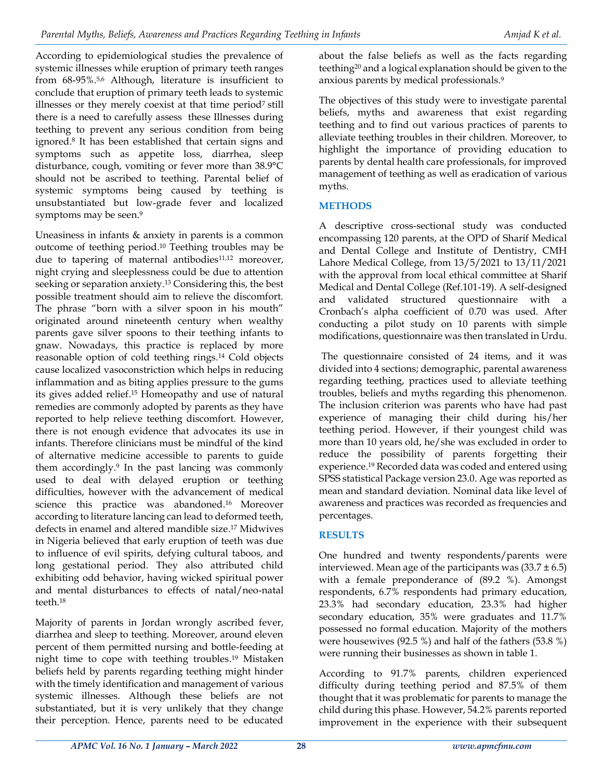According to epidemiological studies the prevalence of systemic illnesses while eruption of primary teeth ranges from 68-95%. 5,6 Although, literature is insufficient to conclude that eruption of primary teeth leads to systemic illnesses or they merely coexist at that time period<sup>7</sup> still there is a need to carefully assess these Illnesses during teething to prevent any serious condition from being ignored. 8 It has been established that certain signs and symptoms such as appetite loss, diarrhea, sleep disturbance, cough, vomiting or fever more than 38.9°C should not be ascribed to teething. Parental belief of systemic symptoms being caused by teething is unsubstantiated but low-grade fever and localized symptoms may be seen. 9

Uneasiness in infants & anxiety in parents is a common outcome of teething period. <sup>10</sup> Teething troubles may be due to tapering of maternal antibodies<sup>11,12</sup> moreover, night crying and sleeplessness could be due to attention seeking or separation anxiety. <sup>13</sup> Considering this, the best possible treatment should aim to relieve the discomfort. The phrase "born with a silver spoon in his mouth" originated around nineteenth century when wealthy parents gave silver spoons to their teething infants to gnaw. Nowadays, this practice is replaced by more reasonable option of cold teething rings. <sup>14</sup> Cold objects cause localized vasoconstriction which helps in reducing inflammation and as biting applies pressure to the gums its gives added relief. <sup>15</sup> Homeopathy and use of natural remedies are commonly adopted by parents as they have reported to help relieve teething discomfort. However, there is not enough evidence that advocates its use in infants. Therefore clinicians must be mindful of the kind of alternative medicine accessible to parents to guide them accordingly. 9 In the past lancing was commonly used to deal with delayed eruption or teething difficulties, however with the advancement of medical science this practice was abandoned. <sup>16</sup> Moreover according to literature lancing can lead to deformed teeth, defects in enamel and altered mandible size. <sup>17</sup> Midwives in Nigeria believed that early eruption of teeth was due to influence of evil spirits, defying cultural taboos, and long gestational period. They also attributed child exhibiting odd behavior, having wicked spiritual power and mental disturbances to effects of natal/neo-natal teeth. 18

Majority of parents in Jordan wrongly ascribed fever, diarrhea and sleep to teething. Moreover, around eleven percent of them permitted nursing and bottle-feeding at night time to cope with teething troubles. <sup>19</sup> Mistaken beliefs held by parents regarding teething might hinder with the timely identification and management of various systemic illnesses. Although these beliefs are not substantiated, but it is very unlikely that they change their perception. Hence, parents need to be educated

about the false beliefs as well as the facts regarding teething<sup>20</sup> and a logical explanation should be given to the anxious parents by medical professionals. 9

The objectives of this study were to investigate parental beliefs, myths and awareness that exist regarding teething and to find out various practices of parents to alleviate teething troubles in their children. Moreover, to highlight the importance of providing education to parents by dental health care professionals, for improved management of teething as well as eradication of various myths.

# **METHODS**

A descriptive cross-sectional study was conducted encompassing 120 parents, at the OPD of Sharif Medical and Dental College and Institute of Dentistry, CMH Lahore Medical College, from 13/5/2021 to 13/11/2021 with the approval from local ethical committee at Sharif Medical and Dental College (Ref.101-19). A self-designed and validated structured questionnaire with a Cronbach's alpha coefficient of 0.70 was used. After conducting a pilot study on 10 parents with simple modifications, questionnaire was then translated in Urdu.

The questionnaire consisted of 24 items, and it was divided into 4 sections; demographic, parental awareness regarding teething, practices used to alleviate teething troubles, beliefs and myths regarding this phenomenon. The inclusion criterion was parents who have had past experience of managing their child during his/her teething period. However, if their youngest child was more than 10 years old, he/she was excluded in order to reduce the possibility of parents forgetting their experience. <sup>19</sup> Recorded data was coded and entered using SPSS statistical Package version 23.0. Age was reported as mean and standard deviation. Nominal data like level of awareness and practices was recorded as frequencies and percentages.

# **RESULTS**

One hundred and twenty respondents/parents were interviewed. Mean age of the participants was  $(33.7 \pm 6.5)$ with a female preponderance of (89.2 %). Amongst respondents, 6.7% respondents had primary education, 23.3% had secondary education, 23.3% had higher secondary education, 35% were graduates and 11.7% possessed no formal education. Majority of the mothers were housewives (92.5 %) and half of the fathers (53.8 %) were running their businesses as shown in table 1.

According to 91.7% parents, children experienced difficulty during teething period and 87.5% of them thought that it was problematic for parents to manage the child during this phase. However, 54.2% parents reported improvement in the experience with their subsequent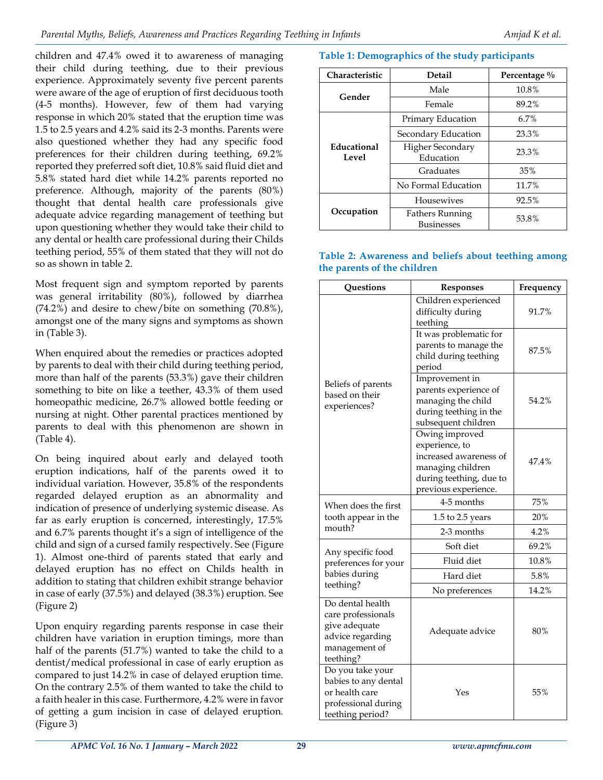children and 47.4% owed it to awareness of managing their child during teething, due to their previous experience. Approximately seventy five percent parents were aware of the age of eruption of first deciduous tooth (4-5 months). However, few of them had varying response in which 20% stated that the eruption time was 1.5 to 2.5 years and 4.2% said its 2-3 months. Parents were also questioned whether they had any specific food preferences for their children during teething, 69.2% reported they preferred soft diet, 10.8% said fluid diet and 5.8% stated hard diet while 14.2% parents reported no preference. Although, majority of the parents (80%) thought that dental health care professionals give adequate advice regarding management of teething but upon questioning whether they would take their child to any dental or health care professional during their Childs teething period, 55% of them stated that they will not do so as shown in table 2.

Most frequent sign and symptom reported by parents was general irritability (80%), followed by diarrhea (74.2%) and desire to chew/bite on something (70.8%), amongst one of the many signs and symptoms as shown in (Table 3).

When enquired about the remedies or practices adopted by parents to deal with their child during teething period, more than half of the parents (53.3%) gave their children something to bite on like a teether, 43.3% of them used homeopathic medicine, 26.7% allowed bottle feeding or nursing at night. Other parental practices mentioned by parents to deal with this phenomenon are shown in (Table 4).

On being inquired about early and delayed tooth eruption indications, half of the parents owed it to individual variation. However, 35.8% of the respondents regarded delayed eruption as an abnormality and indication of presence of underlying systemic disease. As far as early eruption is concerned, interestingly, 17.5% and 6.7% parents thought it's a sign of intelligence of the child and sign of a cursed family respectively. See (Figure 1). Almost one-third of parents stated that early and delayed eruption has no effect on Childs health in addition to stating that children exhibit strange behavior in case of early (37.5%) and delayed (38.3%) eruption. See (Figure 2)

Upon enquiry regarding parents response in case their children have variation in eruption timings, more than half of the parents (51.7%) wanted to take the child to a dentist/medical professional in case of early eruption as compared to just 14.2% in case of delayed eruption time. On the contrary 2.5% of them wanted to take the child to a faith healer in this case. Furthermore, 4.2% were in favor of getting a gum incision in case of delayed eruption. (Figure 3)

## **Table 1: Demographics of the study participants**

| Characteristic       | <b>Detail</b>                               | Percentage % |
|----------------------|---------------------------------------------|--------------|
| Gender               | Male                                        | 10.8%        |
|                      | Female                                      | 89.2%        |
| Educational<br>Level | Primary Education                           | 6.7%         |
|                      | Secondary Education                         | 23.3%        |
|                      | Higher Secondary<br>Education               | 23.3%        |
|                      | Graduates                                   | 35%          |
|                      | No Formal Education                         | 11.7%        |
| Occupation           | <b>Housewives</b>                           | 92.5%        |
|                      | <b>Fathers Running</b><br><b>Businesses</b> | 53.8%        |

## **Table 2: Awareness and beliefs about teething among the parents of the children**

| <b>Ouestions</b>                                                                                          | <b>Responses</b>                                                                                                                   | Frequency |
|-----------------------------------------------------------------------------------------------------------|------------------------------------------------------------------------------------------------------------------------------------|-----------|
|                                                                                                           | Children experienced<br>difficulty during<br>teething                                                                              | 91.7%     |
|                                                                                                           | It was problematic for<br>parents to manage the<br>child during teething<br>period                                                 | 87.5%     |
| Beliefs of parents<br>based on their<br>experiences?                                                      | Improvement in<br>parents experience of<br>managing the child<br>during teething in the<br>subsequent children                     | 54.2%     |
|                                                                                                           | Owing improved<br>experience, to<br>increased awareness of<br>managing children<br>during teething, due to<br>previous experience. | 47.4%     |
| When does the first                                                                                       | 4-5 months                                                                                                                         | 75%       |
| tooth appear in the                                                                                       | 1.5 to 2.5 years                                                                                                                   | 20%       |
| mouth?                                                                                                    | 2-3 months                                                                                                                         | 4.2%      |
| Any specific food                                                                                         | Soft diet                                                                                                                          | 69.2%     |
| preferences for your                                                                                      | Fluid diet                                                                                                                         | 10.8%     |
| babies during                                                                                             | Hard diet                                                                                                                          | 5.8%      |
| teething?                                                                                                 | No preferences                                                                                                                     | 14.2%     |
| Do dental health<br>care professionals<br>give adequate<br>advice regarding<br>management of<br>teething? | Adequate advice                                                                                                                    | 80%       |
| Do you take your<br>babies to any dental<br>or health care<br>professional during<br>teething period?     | Yes                                                                                                                                | 55%       |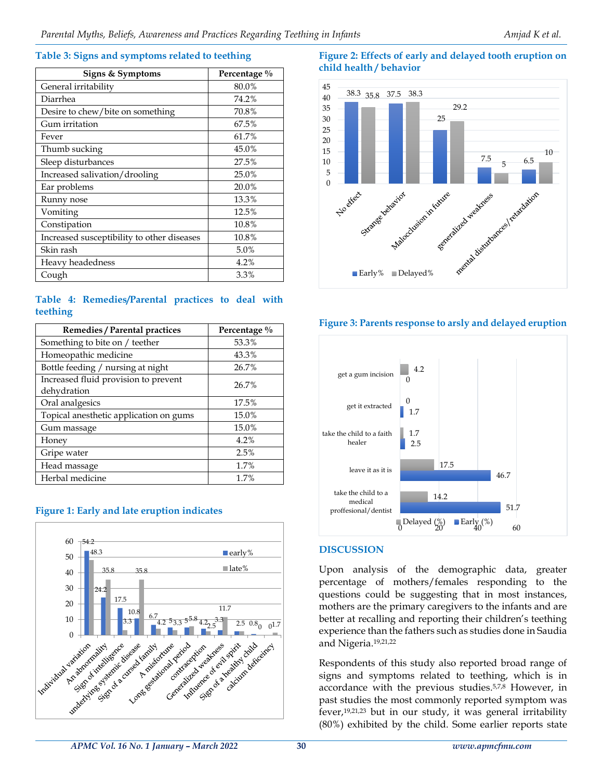#### **Table 3: Signs and symptoms related to teething**

| Signs & Symptoms                           | Percentage % |
|--------------------------------------------|--------------|
| General irritability                       | 80.0%        |
| Diarrhea                                   | 74.2%        |
| Desire to chew/bite on something           | 70.8%        |
| Gum irritation                             | 67.5%        |
| Fever                                      | 61.7%        |
| Thumb sucking                              | 45.0%        |
| Sleep disturbances                         | 27.5%        |
| Increased salivation/drooling              | 25.0%        |
| Ear problems                               | 20.0%        |
| Runny nose                                 | 13.3%        |
| Vomiting                                   | 12.5%        |
| Constipation                               | 10.8%        |
| Increased susceptibility to other diseases | 10.8%        |
| Skin rash                                  | 5.0%         |
| Heavy headedness                           | 4.2%         |
| Cough                                      | 3.3%         |

### **Table 4: Remedies/Parental practices to deal with teething**

| Remedies / Parental practices                       | Percentage % |
|-----------------------------------------------------|--------------|
| Something to bite on / teether                      | 53.3%        |
| Homeopathic medicine                                | 43.3%        |
| Bottle feeding / nursing at night                   | 26.7%        |
| Increased fluid provision to prevent<br>dehydration | 26.7%        |
| Oral analgesics                                     | 17.5%        |
| Topical anesthetic application on gums              | 15.0%        |
| Gum massage                                         | 15.0%        |
| Honey                                               | 4.2%         |
| Gripe water                                         | 2.5%         |
| Head massage                                        | 1.7%         |
| Herbal medicine                                     | 1.7%         |





# **Figure 2: Effects of early and delayed tooth eruption on child health / behavior**



## **Figure 3: Parents response to arsly and delayed eruption**



# **DISCUSSION**

Upon analysis of the demographic data, greater percentage of mothers/females responding to the questions could be suggesting that in most instances, mothers are the primary caregivers to the infants and are better at recalling and reporting their children's teething experience than the fathers such as studies done in Saudia and Nigeria. 19,21,22

Respondents of this study also reported broad range of signs and symptoms related to teething, which is in accordance with the previous studies. 5,7,8 However, in past studies the most commonly reported symptom was fever, 19,21,23 but in our study, it was general irritability (80%) exhibited by the child. Some earlier reports state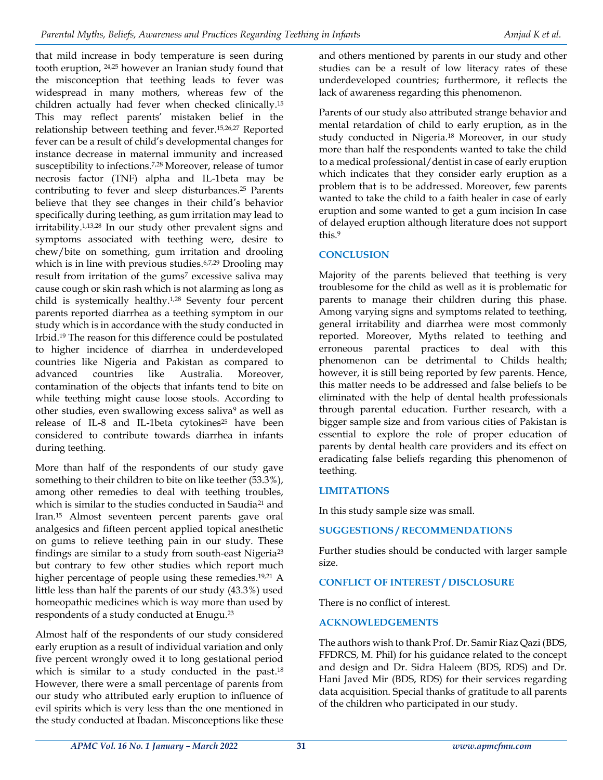that mild increase in body temperature is seen during tooth eruption, 24,25 however an Iranian study found that the misconception that teething leads to fever was widespread in many mothers, whereas few of the children actually had fever when checked clinically. 15 This may reflect parents' mistaken belief in the relationship between teething and fever. 15,26,27 Reported fever can be a result of child's developmental changes for instance decrease in maternal immunity and increased susceptibility to infections. 7,28 Moreover, release of tumor necrosis factor (TNF) alpha and IL-1beta may be contributing to fever and sleep disturbances. <sup>25</sup> Parents believe that they see changes in their child's behavior specifically during teething, as gum irritation may lead to irritability. 1,13,28 In our study other prevalent signs and symptoms associated with teething were, desire to chew/bite on something, gum irritation and drooling which is in line with previous studies.<sup>6,7,29</sup> Drooling may result from irritation of the gums<sup>7</sup> excessive saliva may cause cough or skin rash which is not alarming as long as child is systemically healthy. 1,28 Seventy four percent parents reported diarrhea as a teething symptom in our study which is in accordance with the study conducted in Irbid. <sup>19</sup> The reason for this difference could be postulated to higher incidence of diarrhea in underdeveloped countries like Nigeria and Pakistan as compared to advanced countries like Australia. Moreover, contamination of the objects that infants tend to bite on while teething might cause loose stools. According to other studies, even swallowing excess saliva<sup>9</sup> as well as release of IL-8 and IL-1beta cytokines<sup>25</sup> have been considered to contribute towards diarrhea in infants during teething.

More than half of the respondents of our study gave something to their children to bite on like teether (53.3%), among other remedies to deal with teething troubles, which is similar to the studies conducted in Saudia<sup>21</sup> and Iran. <sup>15</sup> Almost seventeen percent parents gave oral analgesics and fifteen percent applied topical anesthetic on gums to relieve teething pain in our study. These findings are similar to a study from south-east Nigeria<sup>23</sup> but contrary to few other studies which report much higher percentage of people using these remedies. 19,21 A little less than half the parents of our study (43.3%) used homeopathic medicines which is way more than used by respondents of a study conducted at Enugu. 23

Almost half of the respondents of our study considered early eruption as a result of individual variation and only five percent wrongly owed it to long gestational period which is similar to a study conducted in the past.<sup>18</sup> However, there were a small percentage of parents from our study who attributed early eruption to influence of evil spirits which is very less than the one mentioned in the study conducted at Ibadan. Misconceptions like these and others mentioned by parents in our study and other studies can be a result of low literacy rates of these underdeveloped countries; furthermore, it reflects the lack of awareness regarding this phenomenon.

Parents of our study also attributed strange behavior and mental retardation of child to early eruption, as in the study conducted in Nigeria. <sup>18</sup> Moreover, in our study more than half the respondents wanted to take the child to a medical professional/dentist in case of early eruption which indicates that they consider early eruption as a problem that is to be addressed. Moreover, few parents wanted to take the child to a faith healer in case of early eruption and some wanted to get a gum incision In case of delayed eruption although literature does not support this. 9

## **CONCLUSION**

Majority of the parents believed that teething is very troublesome for the child as well as it is problematic for parents to manage their children during this phase. Among varying signs and symptoms related to teething, general irritability and diarrhea were most commonly reported. Moreover, Myths related to teething and erroneous parental practices to deal with this phenomenon can be detrimental to Childs health; however, it is still being reported by few parents. Hence, this matter needs to be addressed and false beliefs to be eliminated with the help of dental health professionals through parental education. Further research, with a bigger sample size and from various cities of Pakistan is essential to explore the role of proper education of parents by dental health care providers and its effect on eradicating false beliefs regarding this phenomenon of teething.

## **LIMITATIONS**

In this study sample size was small.

## **SUGGESTIONS / RECOMMENDATIONS**

Further studies should be conducted with larger sample size.

## **CONFLICT OF INTEREST / DISCLOSURE**

There is no conflict of interest.

## **ACKNOWLEDGEMENTS**

The authors wish to thank Prof. Dr. Samir Riaz Qazi (BDS, FFDRCS, M. Phil) for his guidance related to the concept and design and Dr. Sidra Haleem (BDS, RDS) and Dr. Hani Javed Mir (BDS, RDS) for their services regarding data acquisition. Special thanks of gratitude to all parents of the children who participated in our study.